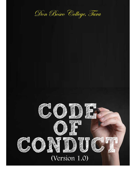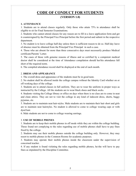# CODE OF CONDUCT FOR STUDENTS (VERSION 1.0)

## 1. ATTENDANCE

1. Students are to attend classes regularly. Only those who attain 75% in attendance shall be eligible to sit for Final Semester Examinations.

2. Students who cannot attend classes for any reason are to fill in a leave application form and get it countersigned by the Principal/Vice Principal before the first period and submit in the respective department.

3. No student is to leave college half-day unless there is sufficient reason to do so. Half-day leave of absence must be obtained from the Principal/Vice Principal in such a case.

4. Those who are absent for more than three consecutive days must necessarily produce Medical certificate/Parents' Letter.

5. The cases of those with genuine reasons of illness and so certified by a competent medical doctor shall be considered at the time of Attendance compilation should her/his attendance fall short of the required norm.

6. The compiled attendance record shall be displayed at the end of each month.

# 2. DRESS AND APPEARANCE

1. The overall dress and appearance of the students must be in good taste.

2. No student shall be allowed inside the college campus without the Identity Card whether on or off working days of the college.

3. Students are to attend classes in full uniform. They are to wear the uniform in proper ways as instructed by the College. All the students are to wear black shoes and black socks.

4. Students visiting the College library or office on days when there is no class are to come in neat and clean attires. They are not to visit the college in any kind of indecent dress, shorts, baggy pyjamas, etc.

5. Students are to maintain neat hair-styles. Male students are to maintain their hair short and girls are to maintain neat hairstyles. No student is allowed to come to college wearing caps or with dyed hair.

6. Male students are not to come to college wearing earrings.

# 3. USE OF MOBILE PHONES

1. Students are to keep their mobile phones in off mode while they are within the college building. Those found not complying to the rules regarding use of mobile phones shall have to pay fines fixed by the college.

2. Students may use their mobile phones outside the college building only. However, they may resort to mobile phones in the Common Rooms for academic purposes.

3. Students may operate their mobile phones inside the classroom under the supervision of concerned teacher.

4. If any student is found violating the rules regarding mobile phones, he/she will have to pay fines as stipulated by the Discipline Committee.